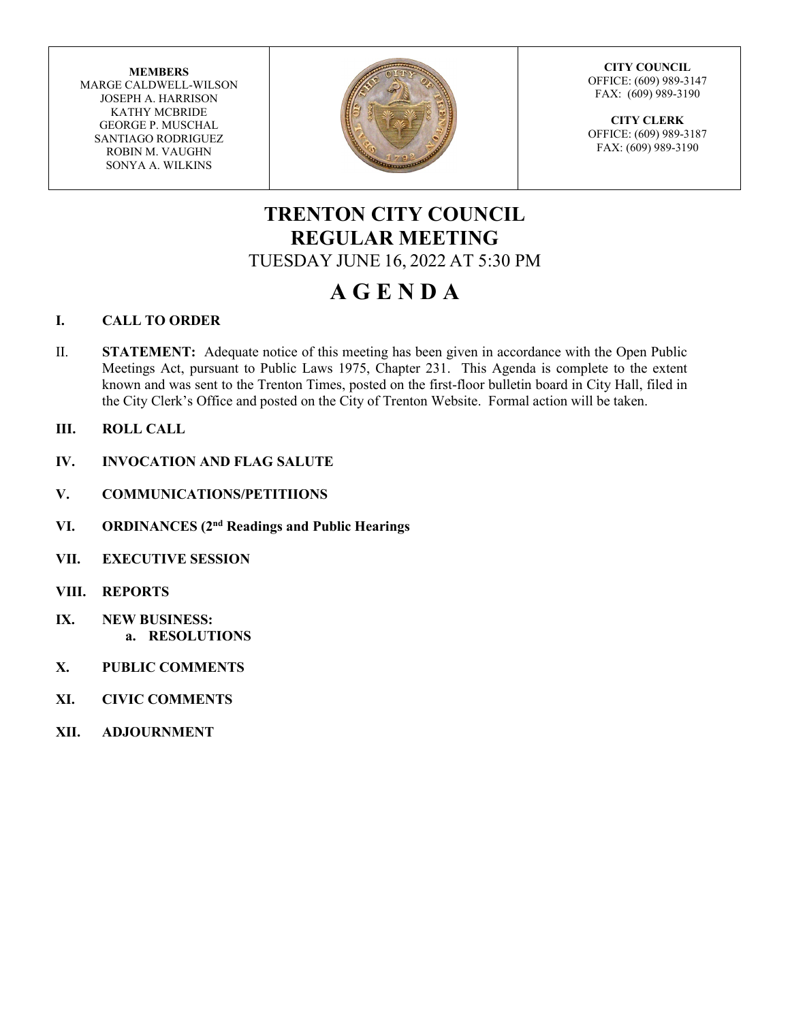**MEMBERS** MARGE CALDWELL-WILSON JOSEPH A. HARRISON KATHY MCBRIDE GEORGE P. MUSCHAL SANTIAGO RODRIGUEZ ROBIN M. VAUGHN SONYA A. WILKINS



**CITY COUNCIL** OFFICE: (609) 989-3147 FAX: (609) 989-3190

**CITY CLERK** OFFICE: (609) 989-3187 FAX: (609) 989-3190

# **TRENTON CITY COUNCIL REGULAR MEETING** TUESDAY JUNE 16, 2022 AT 5:30 PM

# **A G E N D A**

### **I. CALL TO ORDER**

- II. **STATEMENT:** Adequate notice of this meeting has been given in accordance with the Open Public Meetings Act, pursuant to Public Laws 1975, Chapter 231. This Agenda is complete to the extent known and was sent to the Trenton Times, posted on the first-floor bulletin board in City Hall, filed in the City Clerk's Office and posted on the City of Trenton Website. Formal action will be taken.
- **III. ROLL CALL**
- **IV. INVOCATION AND FLAG SALUTE**
- **V. COMMUNICATIONS/PETITIIONS**
- **VI. ORDINANCES (2nd Readings and Public Hearings**
- **VII. EXECUTIVE SESSION**
- **VIII. REPORTS**
- **IX. NEW BUSINESS: a. RESOLUTIONS**
- **X. PUBLIC COMMENTS**
- **XI. CIVIC COMMENTS**
- **XII. ADJOURNMENT**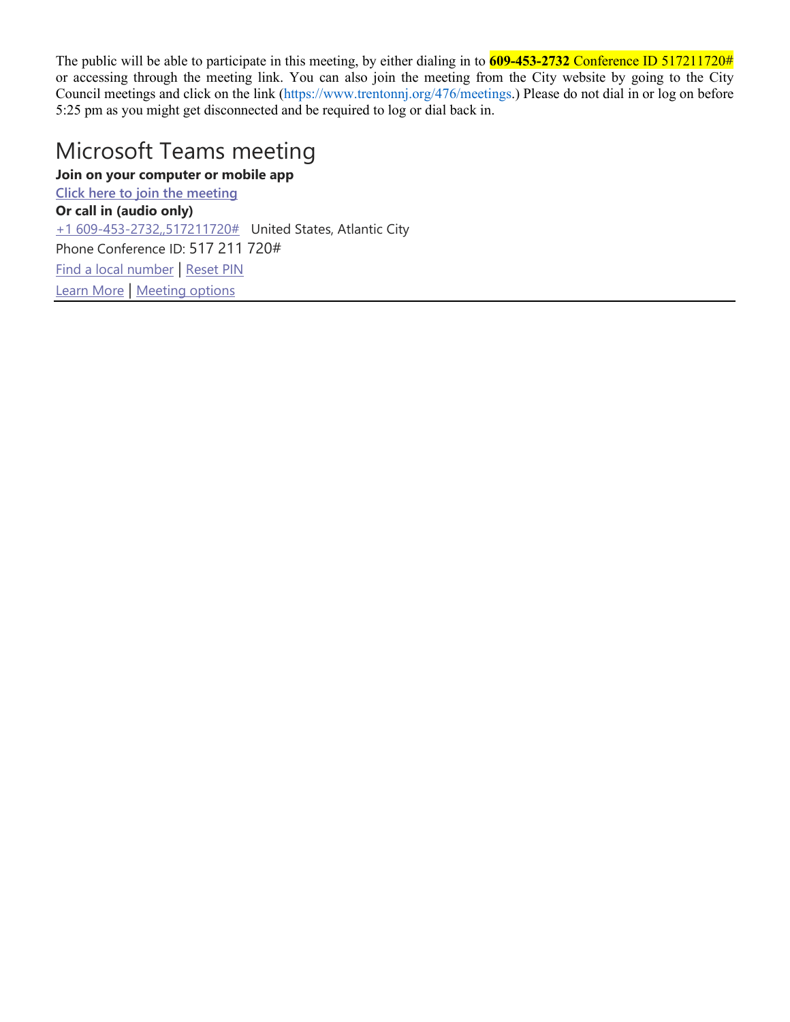The public will be able to participate in this meeting, by either dialing in to **609-453-2732** Conference ID 517211720# or accessing through the meeting link. You can also join the meeting from the City website by going to the City Council meetings and click on the link (https://www.trentonnj.org/476/meetings.) Please do not dial in or log on before 5:25 pm as you might get disconnected and be required to log or dial back in.

# Microsoft Teams meeting

**Join on your computer or mobile app [Click here to join the meeting](https://teams.microsoft.com/l/meetup-join/19%3ameeting_NGZhN2QyNzMtYTMzNi00OTdmLWI3MGYtNGMzODMwZjcyODA3%40thread.v2/0?context=%7b%22Tid%22%3a%22f86c5221-bbd6-4070-b193-55d36a0de932%22%2c%22Oid%22%3a%227c59c9df-f582-45f3-8376-f9e472ba4448%22%7d) Or call in (audio only)** [+1 609-453-2732,,517211720#](tel:+16094532732,,517211720#%20) United States, Atlantic City Phone Conference ID: 517 211 720# [Find a local](https://dialin.teams.microsoft.com/6a9cd2cf-c4a2-4489-b6ff-f770d7f1065d?id=517211720) number | [Reset PIN](https://mysettings.lync.com/pstnconferencing) [Learn More](https://aka.ms/JoinTeamsMeeting) | [Meeting options](https://teams.microsoft.com/meetingOptions/?organizerId=7c59c9df-f582-45f3-8376-f9e472ba4448&tenantId=f86c5221-bbd6-4070-b193-55d36a0de932&threadId=19_meeting_NGZhN2QyNzMtYTMzNi00OTdmLWI3MGYtNGMzODMwZjcyODA3@thread.v2&messageId=0&language=en-US)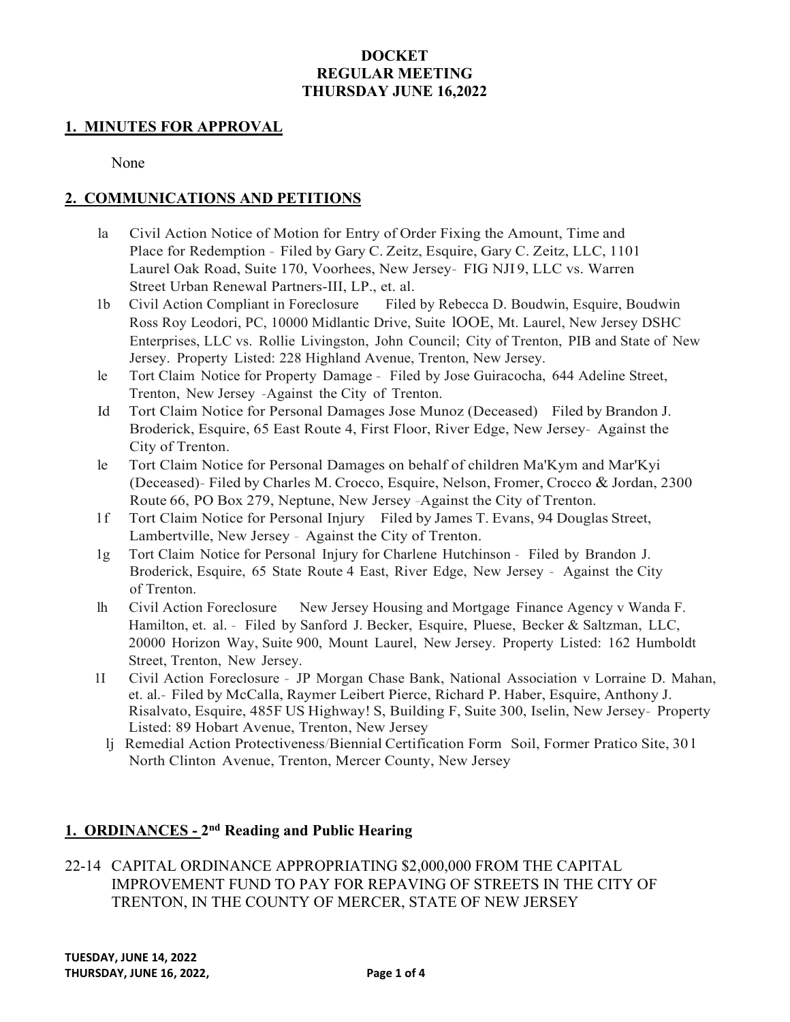### **DOCKET REGULAR MEETING THURSDAY JUNE 16,2022**

#### **1. MINUTES FOR APPROVAL**

None

#### **2. COMMUNICATIONS AND PETITIONS**

- la Civil Action Notice of Motion for Entry of Order Fixing the Amount, Time and Place for Redemption - Filed by Gary C. Zeitz, Esquire, Gary C. Zeitz, LLC, 1101 Laurel Oak Road, Suite 170, Voorhees, New Jersey- FIG NJI 9, LLC vs. Warren Street Urban Renewal Partners-III, LP., et. al.
- 1b Civil Action Compliant in Foreclosure Filed by Rebecca D. Boudwin, Esquire, Boudwin Ross Roy Leodori, PC, 10000 Midlantic Drive, Suite lOOE, Mt. Laurel, New Jersey DSHC Enterprises, LLC vs. Rollie Livingston, John Council; City of Trenton, PIB and State of New Jersey. Property Listed: 228 Highland Avenue, Trenton, New Jersey.
- le Tort Claim Notice for Property Damage Filed by Jose Guiracocha, 644 Adeline Street, Trenton, New Jersey -Against the City of Trenton.
- Id Tort Claim Notice for Personal Damages Jose Munoz (Deceased) Filed by Brandon J. Broderick, Esquire, 65 East Route 4, First Floor, River Edge, New Jersey- Against the City of Trenton.
- le Tort Claim Notice for Personal Damages on behalf of children Ma'Kym and Mar'Kyi (Deceased)- Filed by Charles M. Crocco, Esquire, Nelson, Fromer, Crocco & Jordan, 2300 Route 66, PO Box 279, Neptune, New Jersey -Against the City of Trenton.
- l f Tort Claim Notice for Personal Injury Filed by James T. Evans, 94 Douglas Street, Lambertville, New Jersey - Against the City of Trenton.
- 1g Tort Claim Notice for Personal Injury for Charlene Hutchinson Filed by Brandon J. Broderick, Esquire, 65 State Route 4 East, River Edge, New Jersey - Against the City of Trenton.
- lh Civil Action Foreclosure New Jersey Housing and Mortgage Finance Agency v Wanda F. Hamilton, et. al. - Filed by Sanford J. Becker, Esquire, Pluese, Becker & Saltzman, LLC, 20000 Horizon Way, Suite 900, Mount Laurel, New Jersey. Property Listed: 162 Humboldt Street, Trenton, New Jersey.
- 1I Civil Action Foreclosure JP Morgan Chase Bank, National Association v Lorraine D. Mahan, et. al.- Filed by McCalla, Raymer Leibert Pierce, Richard P. Haber, Esquire, Anthony J. Risalvato, Esquire, 485F US Highway! S, Building F, Suite 300, Iselin, New Jersey- Property Listed: 89 Hobart Avenue, Trenton, New Jersey
	- lj Remedial Action Protectiveness/Biennial Certification Form Soil, Former Pratico Site, 30 l North Clinton Avenue, Trenton, Mercer County, New Jersey

# **1. ORDINANCES - 2nd Reading and Public Hearing**

22-14 CAPITAL ORDINANCE APPROPRIATING \$2,000,000 FROM THE CAPITAL IMPROVEMENT FUND TO PAY FOR REPAVING OF STREETS IN THE CITY OF TRENTON, IN THE COUNTY OF MERCER, STATE OF NEW JERSEY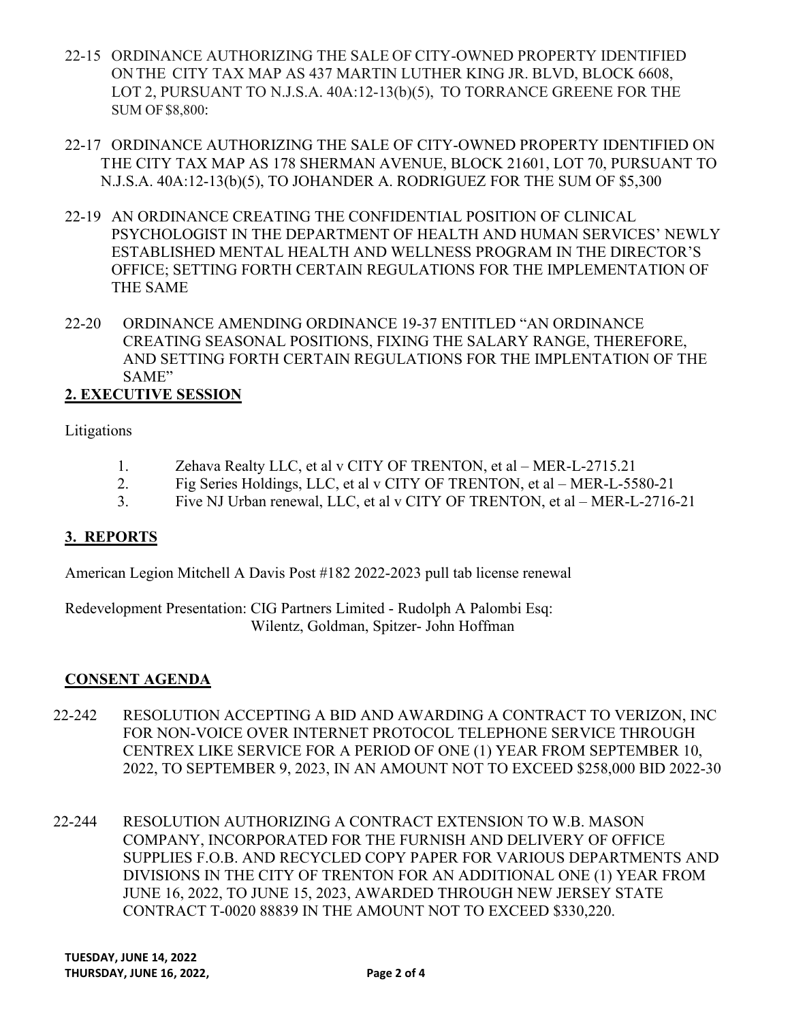- 22-15 ORDINANCE AUTHORIZING THE SALE OF CITY-OWNED PROPERTY IDENTIFIED ON THE CITY TAX MAP AS 437 MARTIN LUTHER KING JR. BLVD, BLOCK 6608, LOT 2, PURSUANT TO N.J.S.A. 40A:12-13(b)(5), TO TORRANCE GREENE FOR THE SUM OF \$8,800:
- 22-17 ORDINANCE AUTHORIZING THE SALE OF CITY-OWNED PROPERTY IDENTIFIED ON THE CITY TAX MAP AS 178 SHERMAN AVENUE, BLOCK 21601, LOT 70, PURSUANT TO N.J.S.A. 40A:12-13(b)(5), TO JOHANDER A. RODRIGUEZ FOR THE SUM OF \$5,300
- 22-19 AN ORDINANCE CREATING THE CONFIDENTIAL POSITION OF CLINICAL PSYCHOLOGIST IN THE DEPARTMENT OF HEALTH AND HUMAN SERVICES' NEWLY ESTABLISHED MENTAL HEALTH AND WELLNESS PROGRAM IN THE DIRECTOR'S OFFICE; SETTING FORTH CERTAIN REGULATIONS FOR THE IMPLEMENTATION OF THE SAME
- 22-20 ORDINANCE AMENDING ORDINANCE 19-37 ENTITLED "AN ORDINANCE CREATING SEASONAL POSITIONS, FIXING THE SALARY RANGE, THEREFORE, AND SETTING FORTH CERTAIN REGULATIONS FOR THE IMPLENTATION OF THE SAME"

# **2. EXECUTIVE SESSION**

Litigations

- 1. Zehava Realty LLC, et al v CITY OF TRENTON, et al MER-L-2715.21
- 2. Fig Series Holdings, LLC, et al v CITY OF TRENTON, et al MER-L-5580-21
- 3. Five NJ Urban renewal, LLC, et al v CITY OF TRENTON, et al MER-L-2716-21

## **3. REPORTS**

American Legion Mitchell A Davis Post #182 2022-2023 pull tab license renewal

Redevelopment Presentation: CIG Partners Limited - Rudolph A Palombi Esq: Wilentz, Goldman, Spitzer- John Hoffman

## **CONSENT AGENDA**

- 22-242 RESOLUTION ACCEPTING A BID AND AWARDING A CONTRACT TO VERIZON, INC FOR NON-VOICE OVER INTERNET PROTOCOL TELEPHONE SERVICE THROUGH CENTREX LIKE SERVICE FOR A PERIOD OF ONE (1) YEAR FROM SEPTEMBER 10, 2022, TO SEPTEMBER 9, 2023, IN AN AMOUNT NOT TO EXCEED \$258,000 BID 2022-30
- 22-244 RESOLUTION AUTHORIZING A CONTRACT EXTENSION TO W.B. MASON COMPANY, INCORPORATED FOR THE FURNISH AND DELIVERY OF OFFICE SUPPLIES F.O.B. AND RECYCLED COPY PAPER FOR VARIOUS DEPARTMENTS AND DIVISIONS IN THE CITY OF TRENTON FOR AN ADDITIONAL ONE (1) YEAR FROM JUNE 16, 2022, TO JUNE 15, 2023, AWARDED THROUGH NEW JERSEY STATE CONTRACT T-0020 88839 IN THE AMOUNT NOT TO EXCEED \$330,220.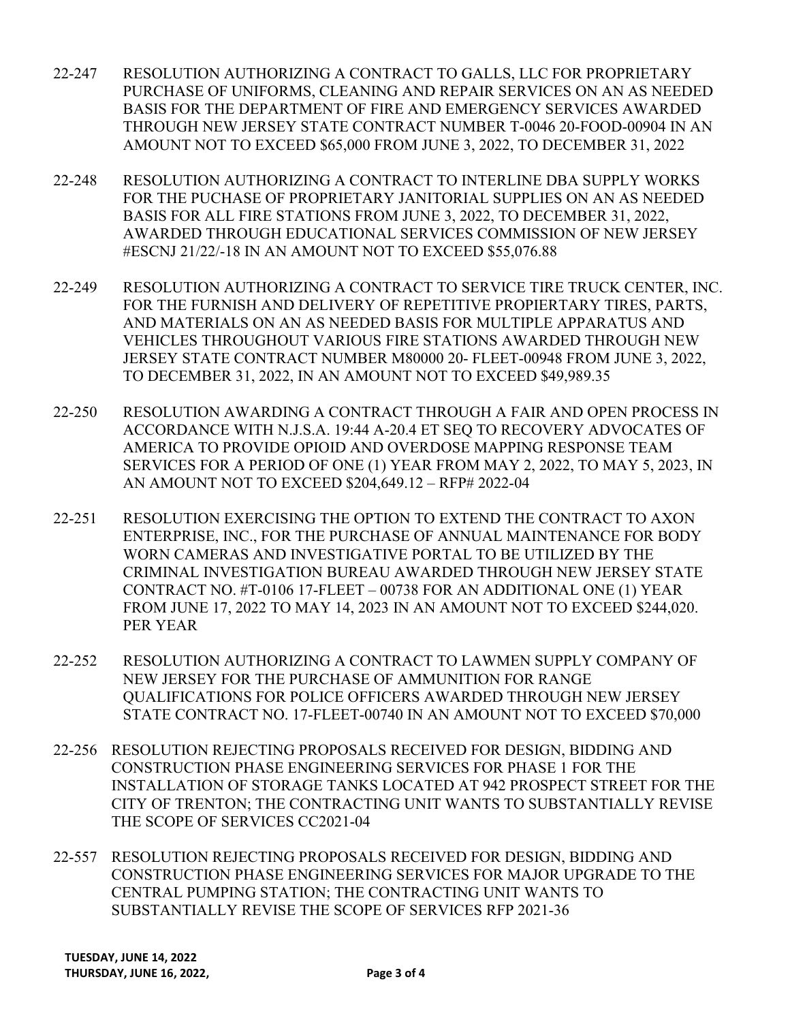- 22-247 RESOLUTION AUTHORIZING A CONTRACT TO GALLS, LLC FOR PROPRIETARY PURCHASE OF UNIFORMS, CLEANING AND REPAIR SERVICES ON AN AS NEEDED BASIS FOR THE DEPARTMENT OF FIRE AND EMERGENCY SERVICES AWARDED THROUGH NEW JERSEY STATE CONTRACT NUMBER T-0046 20-FOOD-00904 IN AN AMOUNT NOT TO EXCEED \$65,000 FROM JUNE 3, 2022, TO DECEMBER 31, 2022
- 22-248 RESOLUTION AUTHORIZING A CONTRACT TO INTERLINE DBA SUPPLY WORKS FOR THE PUCHASE OF PROPRIETARY JANITORIAL SUPPLIES ON AN AS NEEDED BASIS FOR ALL FIRE STATIONS FROM JUNE 3, 2022, TO DECEMBER 31, 2022, AWARDED THROUGH EDUCATIONAL SERVICES COMMISSION OF NEW JERSEY #ESCNJ 21/22/-18 IN AN AMOUNT NOT TO EXCEED \$55,076.88
- 22-249 RESOLUTION AUTHORIZING A CONTRACT TO SERVICE TIRE TRUCK CENTER, INC. FOR THE FURNISH AND DELIVERY OF REPETITIVE PROPIERTARY TIRES, PARTS, AND MATERIALS ON AN AS NEEDED BASIS FOR MULTIPLE APPARATUS AND VEHICLES THROUGHOUT VARIOUS FIRE STATIONS AWARDED THROUGH NEW JERSEY STATE CONTRACT NUMBER M80000 20- FLEET-00948 FROM JUNE 3, 2022, TO DECEMBER 31, 2022, IN AN AMOUNT NOT TO EXCEED \$49,989.35
- 22-250 RESOLUTION AWARDING A CONTRACT THROUGH A FAIR AND OPEN PROCESS IN ACCORDANCE WITH N.J.S.A. 19:44 A-20.4 ET SEQ TO RECOVERY ADVOCATES OF AMERICA TO PROVIDE OPIOID AND OVERDOSE MAPPING RESPONSE TEAM SERVICES FOR A PERIOD OF ONE (1) YEAR FROM MAY 2, 2022, TO MAY 5, 2023, IN AN AMOUNT NOT TO EXCEED \$204,649.12 – RFP# 2022-04
- 22-251 RESOLUTION EXERCISING THE OPTION TO EXTEND THE CONTRACT TO AXON ENTERPRISE, INC., FOR THE PURCHASE OF ANNUAL MAINTENANCE FOR BODY WORN CAMERAS AND INVESTIGATIVE PORTAL TO BE UTILIZED BY THE CRIMINAL INVESTIGATION BUREAU AWARDED THROUGH NEW JERSEY STATE CONTRACT NO. #T-0106 17-FLEET – 00738 FOR AN ADDITIONAL ONE (1) YEAR FROM JUNE 17, 2022 TO MAY 14, 2023 IN AN AMOUNT NOT TO EXCEED \$244,020. PER YEAR
- 22-252 RESOLUTION AUTHORIZING A CONTRACT TO LAWMEN SUPPLY COMPANY OF NEW JERSEY FOR THE PURCHASE OF AMMUNITION FOR RANGE QUALIFICATIONS FOR POLICE OFFICERS AWARDED THROUGH NEW JERSEY STATE CONTRACT NO. 17-FLEET-00740 IN AN AMOUNT NOT TO EXCEED \$70,000
- 22-256 RESOLUTION REJECTING PROPOSALS RECEIVED FOR DESIGN, BIDDING AND CONSTRUCTION PHASE ENGINEERING SERVICES FOR PHASE 1 FOR THE INSTALLATION OF STORAGE TANKS LOCATED AT 942 PROSPECT STREET FOR THE CITY OF TRENTON; THE CONTRACTING UNIT WANTS TO SUBSTANTIALLY REVISE THE SCOPE OF SERVICES CC2021-04
- 22-557 RESOLUTION REJECTING PROPOSALS RECEIVED FOR DESIGN, BIDDING AND CONSTRUCTION PHASE ENGINEERING SERVICES FOR MAJOR UPGRADE TO THE CENTRAL PUMPING STATION; THE CONTRACTING UNIT WANTS TO SUBSTANTIALLY REVISE THE SCOPE OF SERVICES RFP 2021-36